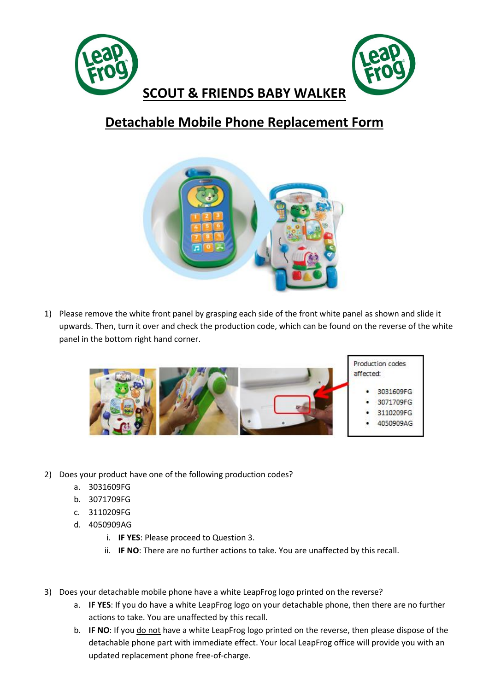

## **Detachable Mobile Phone Replacement Form**



1) Please remove the white front panel by grasping each side of the front white panel as shown and slide it upwards. Then, turn it over and check the production code, which can be found on the reverse of the white panel in the bottom right hand corner.



- 2) Does your product have one of the following production codes?
	- a. 3031609FG
	- b. 3071709FG
	- c. 3110209FG
	- d. 4050909AG
		- i. **IF YES**: Please proceed to Question 3.
		- ii. **IF NO**: There are no further actions to take. You are unaffected by this recall.
- 3) Does your detachable mobile phone have a white LeapFrog logo printed on the reverse?
	- a. **IF YES**: If you do have a white LeapFrog logo on your detachable phone, then there are no further actions to take. You are unaffected by this recall.
	- b. **IF NO**: If you do not have a white LeapFrog logo printed on the reverse, then please dispose of the detachable phone part with immediate effect. Your local LeapFrog office will provide you with an updated replacement phone free-of-charge.